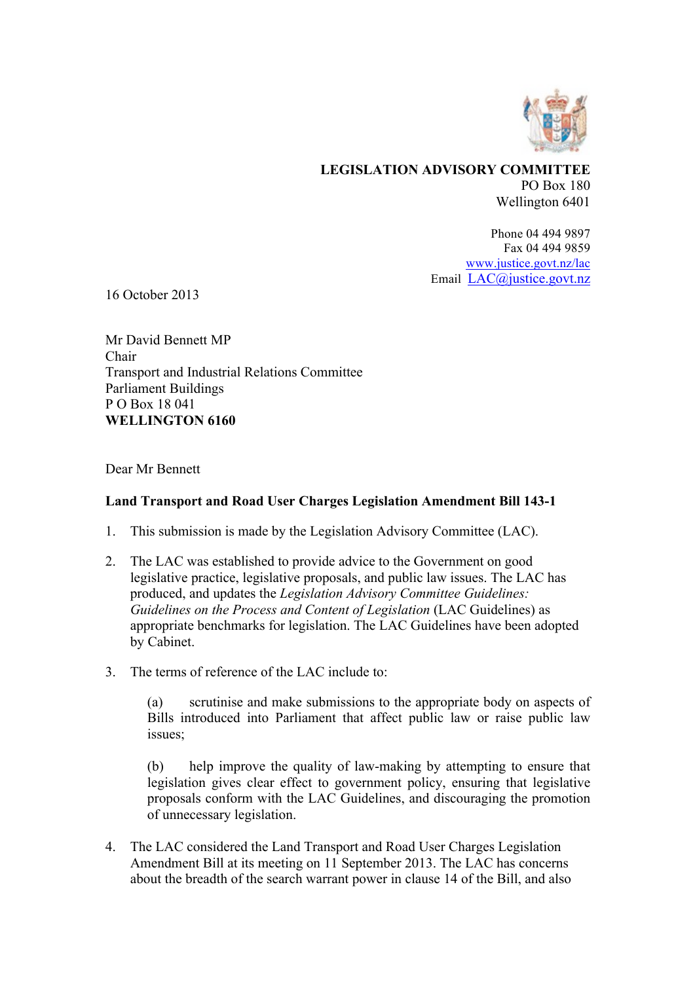

### **LEGISLATION ADVISORY COMMITTEE** PO Box 180 Wellington 6401

Phone 04 494 9897 Fax 04 494 9859 www.justice.govt.nz/lac Email LAC@justice.govt.nz

16 October 2013

Mr David Bennett MP Chair Transport and Industrial Relations Committee Parliament Buildings P O Box 18 041 **WELLINGTON 6160**

Dear Mr Bennett

# **Land Transport and Road User Charges Legislation Amendment Bill 143-1**

- 1. This submission is made by the Legislation Advisory Committee (LAC).
- 2. The LAC was established to provide advice to the Government on good legislative practice, legislative proposals, and public law issues. The LAC has produced, and updates the *Legislation Advisory Committee Guidelines: Guidelines on the Process and Content of Legislation* (LAC Guidelines) as appropriate benchmarks for legislation. The LAC Guidelines have been adopted by Cabinet.
- 3. The terms of reference of the LAC include to:

(a) scrutinise and make submissions to the appropriate body on aspects of Bills introduced into Parliament that affect public law or raise public law issues;

(b) help improve the quality of law-making by attempting to ensure that legislation gives clear effect to government policy, ensuring that legislative proposals conform with the LAC Guidelines, and discouraging the promotion of unnecessary legislation.

4. The LAC considered the Land Transport and Road User Charges Legislation Amendment Bill at its meeting on 11 September 2013. The LAC has concerns about the breadth of the search warrant power in clause 14 of the Bill, and also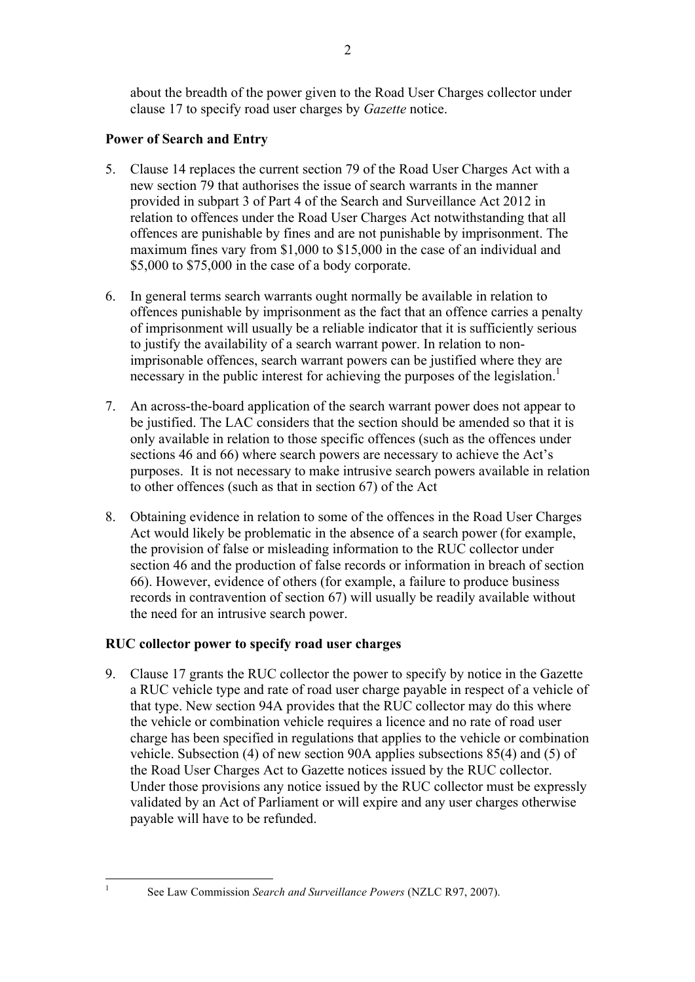about the breadth of the power given to the Road User Charges collector under clause 17 to specify road user charges by *Gazette* notice.

# **Power of Search and Entry**

- 5. Clause 14 replaces the current section 79 of the Road User Charges Act with a new section 79 that authorises the issue of search warrants in the manner provided in subpart 3 of Part 4 of the Search and Surveillance Act 2012 in relation to offences under the Road User Charges Act notwithstanding that all offences are punishable by fines and are not punishable by imprisonment. The maximum fines vary from \$1,000 to \$15,000 in the case of an individual and \$5,000 to \$75,000 in the case of a body corporate.
- 6. In general terms search warrants ought normally be available in relation to offences punishable by imprisonment as the fact that an offence carries a penalty of imprisonment will usually be a reliable indicator that it is sufficiently serious to justify the availability of a search warrant power. In relation to nonimprisonable offences, search warrant powers can be justified where they are necessary in the public interest for achieving the purposes of the legislation.<sup>1</sup>
- 7. An across-the-board application of the search warrant power does not appear to be justified. The LAC considers that the section should be amended so that it is only available in relation to those specific offences (such as the offences under sections 46 and 66) where search powers are necessary to achieve the Act's purposes. It is not necessary to make intrusive search powers available in relation to other offences (such as that in section 67) of the Act
- 8. Obtaining evidence in relation to some of the offences in the Road User Charges Act would likely be problematic in the absence of a search power (for example, the provision of false or misleading information to the RUC collector under section 46 and the production of false records or information in breach of section 66). However, evidence of others (for example, a failure to produce business records in contravention of section 67) will usually be readily available without the need for an intrusive search power.

# **RUC collector power to specify road user charges**

9. Clause 17 grants the RUC collector the power to specify by notice in the Gazette a RUC vehicle type and rate of road user charge payable in respect of a vehicle of that type. New section 94A provides that the RUC collector may do this where the vehicle or combination vehicle requires a licence and no rate of road user charge has been specified in regulations that applies to the vehicle or combination vehicle. Subsection (4) of new section 90A applies subsections 85(4) and (5) of the Road User Charges Act to Gazette notices issued by the RUC collector. Under those provisions any notice issued by the RUC collector must be expressly validated by an Act of Parliament or will expire and any user charges otherwise payable will have to be refunded.

<sup>&</sup>lt;sup>1</sup> See Law Commission *Search and Surveillance Powers* (NZLC R97, 2007).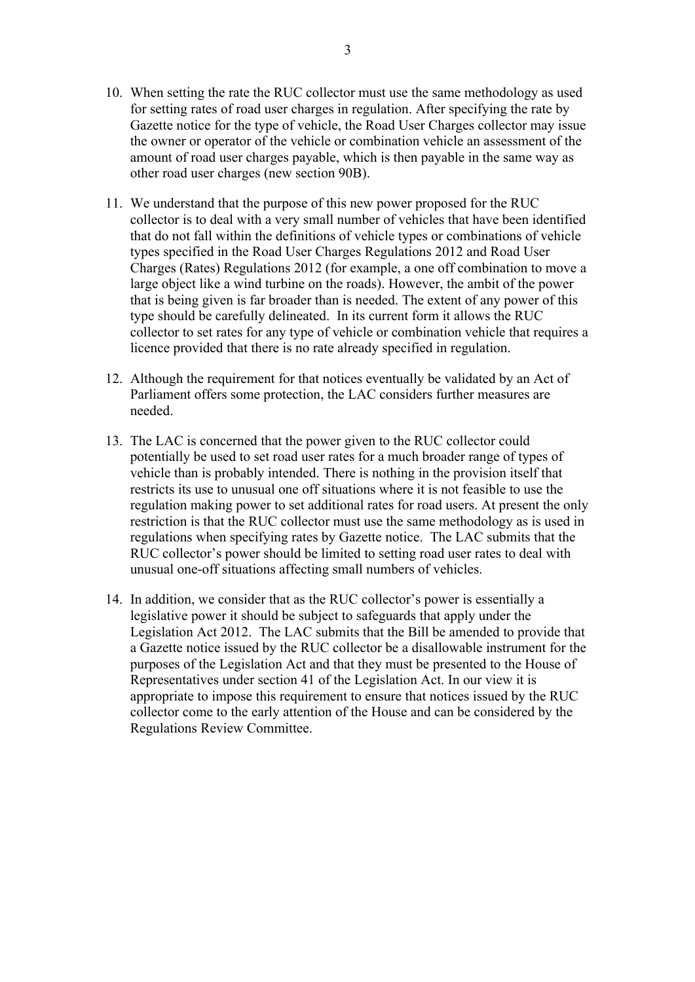- 10. When setting the rate the RUC collector must use the same methodology as used for setting rates of road user charges in regulation. After specifying the rate by Gazette notice for the type of vehicle, the Road User Charges collector may issue the owner or operator of the vehicle or combination vehicle an assessment of the amount of road user charges payable, which is then payable in the same way as other road user charges (new section 90B).
- 11. We understand that the purpose of this new power proposed for the RUC collector is to deal with a very small number of vehicles that have been identified that do not fall within the definitions of vehicle types or combinations of vehicle types specified in the Road User Charges Regulations 2012 and Road User Charges (Rates) Regulations 2012 (for example, a one off combination to move a large object like a wind turbine on the roads). However, the ambit of the power that is being given is far broader than is needed. The extent of any power of this type should be carefully delineated. In its current form it allows the RUC collector to set rates for any type of vehicle or combination vehicle that requires a licence provided that there is no rate already specified in regulation.
- 12. Although the requirement for that notices eventually be validated by an Act of Parliament offers some protection, the LAC considers further measures are needed.
- 13. The LAC is concerned that the power given to the RUC collector could potentially be used to set road user rates for a much broader range of types of vehicle than is probably intended. There is nothing in the provision itself that restricts its use to unusual one off situations where it is not feasible to use the regulation making power to set additional rates for road users. At present the only restriction is that the RUC collector must use the same methodology as is used in regulations when specifying rates by Gazette notice. The LAC submits that the RUC collector's power should be limited to setting road user rates to deal with unusual one-off situations affecting small numbers of vehicles.
- 14. In addition, we consider that as the RUC collector's power is essentially a legislative power it should be subject to safeguards that apply under the Legislation Act 2012. The LAC submits that the Bill be amended to provide that a Gazette notice issued by the RUC collector be a disallowable instrument for the purposes of the Legislation Act and that they must be presented to the House of Representatives under section 41 of the Legislation Act. In our view it is appropriate to impose this requirement to ensure that notices issued by the RUC collector come to the early attention of the House and can be considered by the Regulations Review Committee.